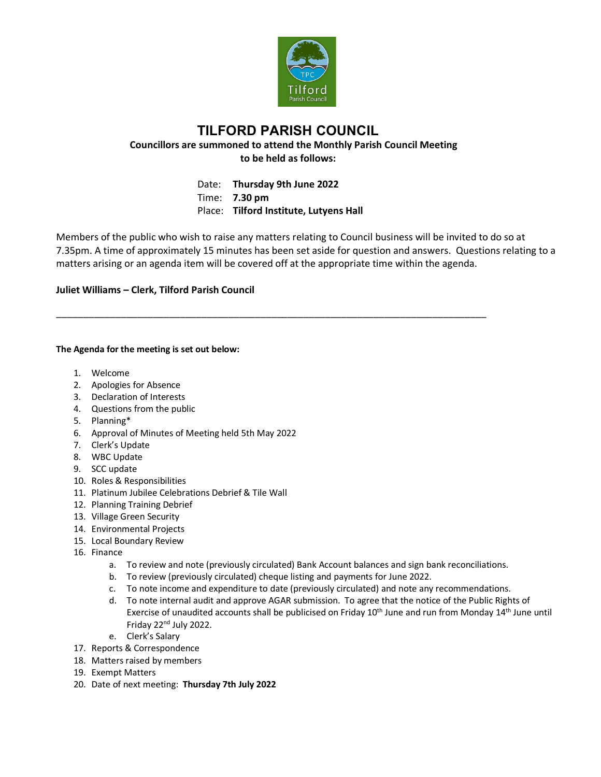

## **TILFORD PARISH COUNCIL Councillors are summoned to attend the Monthly Parish Council Meeting to be held as follows:**

Date: **Thursday 9th June 2022** Time: **7.30 pm** Place: **Tilford Institute, Lutyens Hall**

\_\_\_\_\_\_\_\_\_\_\_\_\_\_\_\_\_\_\_\_\_\_\_\_\_\_\_\_\_\_\_\_\_\_\_\_\_\_\_\_\_\_\_\_\_\_\_\_\_\_\_\_\_\_\_\_\_\_\_\_\_\_\_\_\_\_\_\_\_\_\_\_\_\_\_\_\_\_\_\_

Members of the public who wish to raise any matters relating to Council business will be invited to do so at 7.35pm. A time of approximately 15 minutes has been set aside for question and answers. Questions relating to a matters arising or an agenda item will be covered off at the appropriate time within the agenda.

## **Juliet Williams – Clerk, Tilford Parish Council**

## **The Agenda for the meeting is set out below:**

- 1. Welcome
- 2. Apologies for Absence
- 3. Declaration of Interests
- 4. Questions from the public
- 5. Planning\*
- 6. Approval of Minutes of Meeting held 5th May 2022
- 7. Clerk's Update
- 8. WBC Update
- 9. SCC update
- 10. Roles & Responsibilities
- 11. Platinum Jubilee Celebrations Debrief & Tile Wall
- 12. Planning Training Debrief
- 13. Village Green Security
- 14. Environmental Projects
- 15. Local Boundary Review
- 16. Finance
	- a. To review and note (previously circulated) Bank Account balances and sign bank reconciliations.
	- b. To review (previously circulated) cheque listing and payments for June 2022.
	- c. To note income and expenditure to date (previously circulated) and note any recommendations.
	- d. To note internal audit and approve AGAR submission. To agree that the notice of the Public Rights of Exercise of unaudited accounts shall be publicised on Friday 10<sup>th</sup> June and run from Monday 14<sup>th</sup> June until Friday 22nd July 2022.
	- e. Clerk's Salary
- 17. Reports & Correspondence
- 18. Matters raised by members
- 19. Exempt Matters
- 20. Date of next meeting: **Thursday 7th July 2022**